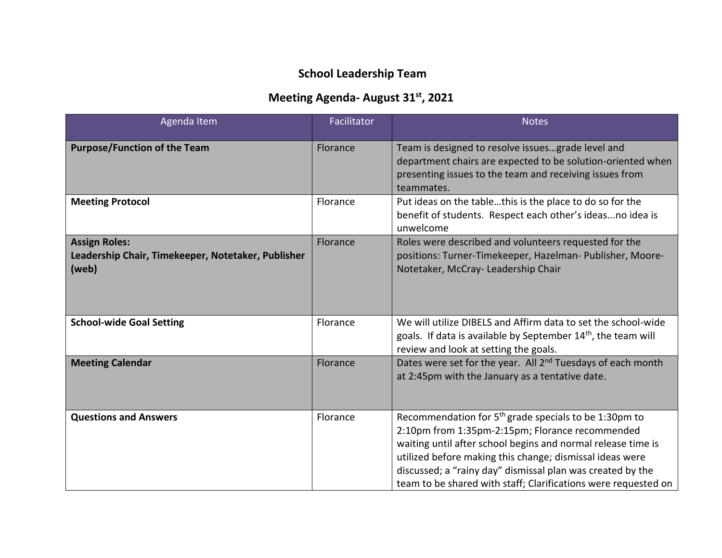## **School Leadership Team**

## **Meeting Agenda- August 31st, 2021**

| Agenda Item                                                                         | <b>Facilitator</b> | <b>Notes</b>                                                                                                                                                                                                                                                                                                                                                                     |
|-------------------------------------------------------------------------------------|--------------------|----------------------------------------------------------------------------------------------------------------------------------------------------------------------------------------------------------------------------------------------------------------------------------------------------------------------------------------------------------------------------------|
| <b>Purpose/Function of the Team</b>                                                 | Florance           | Team is designed to resolve issuesgrade level and<br>department chairs are expected to be solution-oriented when<br>presenting issues to the team and receiving issues from<br>teammates.                                                                                                                                                                                        |
| <b>Meeting Protocol</b>                                                             | Florance           | Put ideas on the tablethis is the place to do so for the<br>benefit of students. Respect each other's ideasno idea is<br>unwelcome                                                                                                                                                                                                                                               |
| <b>Assign Roles:</b><br>Leadership Chair, Timekeeper, Notetaker, Publisher<br>(web) | Florance           | Roles were described and volunteers requested for the<br>positions: Turner-Timekeeper, Hazelman- Publisher, Moore-<br>Notetaker, McCray- Leadership Chair                                                                                                                                                                                                                        |
| <b>School-wide Goal Setting</b>                                                     | Florance           | We will utilize DIBELS and Affirm data to set the school-wide<br>goals. If data is available by September 14 <sup>th</sup> , the team will<br>review and look at setting the goals.                                                                                                                                                                                              |
| <b>Meeting Calendar</b>                                                             | Florance           | Dates were set for the year. All 2 <sup>nd</sup> Tuesdays of each month<br>at 2:45pm with the January as a tentative date.                                                                                                                                                                                                                                                       |
| <b>Questions and Answers</b>                                                        | Florance           | Recommendation for 5 <sup>th</sup> grade specials to be 1:30pm to<br>2:10pm from 1:35pm-2:15pm; Florance recommended<br>waiting until after school begins and normal release time is<br>utilized before making this change; dismissal ideas were<br>discussed; a "rainy day" dismissal plan was created by the<br>team to be shared with staff; Clarifications were requested on |